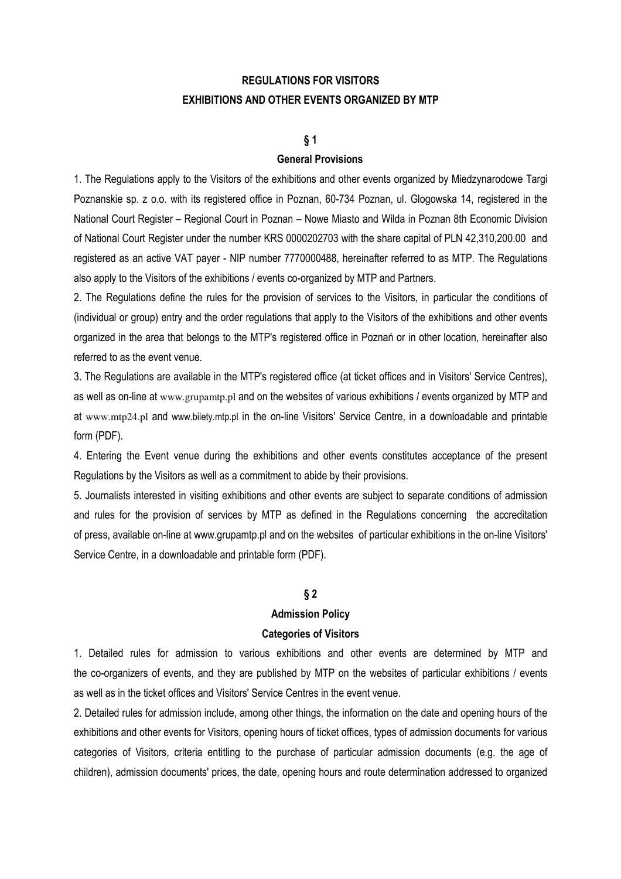# **REGULATIONS FOR VISITORS EXHIBITIONS AND OTHER EVENTS ORGANIZED BY MTP**

# **§ 1**

### **General Provisions**

1. The Regulations apply to the Visitors of the exhibitions and other events organized by Miedzynarodowe Targi Poznanskie sp. z o.o. with its registered office in Poznan, 60-734 Poznan, ul. Glogowska 14, registered in the National Court Register – Regional Court in Poznan – Nowe Miasto and Wilda in Poznan 8th Economic Division of National Court Register under the number KRS 0000202703 with the share capital of PLN 42,310,200.00 and registered as an active VAT payer - NIP number 7770000488, hereinafter referred to as MTP. The Regulations also apply to the Visitors of the exhibitions / events co-organized by MTP and Partners.

2. The Regulations define the rules for the provision of services to the Visitors, in particular the conditions of (individual or group) entry and the order regulations that apply to the Visitors of the exhibitions and other events organized in the area that belongs to the MTP's registered office in Poznań or in other location, hereinafter also referred to as the event venue.

3. The Regulations are available in the MTP's registered office (at ticket offices and in Visitors' Service Centres), as well as on-line at www.grupamtp.pl and on the websites of various exhibitions / events organized by MTP and at www.mtp24.pl and www.bilety.mtp.pl in the on-line Visitors' Service Centre, in a downloadable and printable form (PDF).

4. Entering the Event venue during the exhibitions and other events constitutes acceptance of the present Regulations by the Visitors as well as a commitment to abide by their provisions.

5. Journalists interested in visiting exhibitions and other events are subject to separate conditions of admission and rules for the provision of services by MTP as defined in the Regulations concerning the accreditation of press, available on-line at www.grupamtp.pl and on the websites of particular exhibitions in the on-line Visitors' Service Centre, in a downloadable and printable form (PDF).

# **§ 2**

#### **Admission Policy**

#### **Categories of Visitors**

1. Detailed rules for admission to various exhibitions and other events are determined by MTP and the co-organizers of events, and they are published by MTP on the websites of particular exhibitions / events as well as in the ticket offices and Visitors' Service Centres in the event venue.

2. Detailed rules for admission include, among other things, the information on the date and opening hours of the exhibitions and other events for Visitors, opening hours of ticket offices, types of admission documents for various categories of Visitors, criteria entitling to the purchase of particular admission documents (e.g. the age of children), admission documents' prices, the date, opening hours and route determination addressed to organized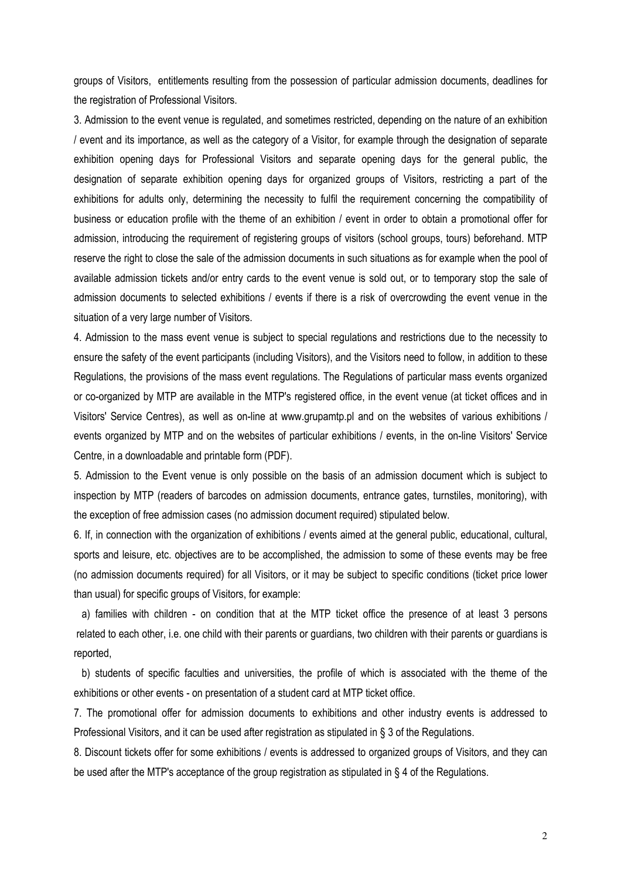groups of Visitors, entitlements resulting from the possession of particular admission documents, deadlines for the registration of Professional Visitors.

3. Admission to the event venue is regulated, and sometimes restricted, depending on the nature of an exhibition / event and its importance, as well as the category of a Visitor, for example through the designation of separate exhibition opening days for Professional Visitors and separate opening days for the general public, the designation of separate exhibition opening days for organized groups of Visitors, restricting a part of the exhibitions for adults only, determining the necessity to fulfil the requirement concerning the compatibility of business or education profile with the theme of an exhibition / event in order to obtain a promotional offer for admission, introducing the requirement of registering groups of visitors (school groups, tours) beforehand. MTP reserve the right to close the sale of the admission documents in such situations as for example when the pool of available admission tickets and/or entry cards to the event venue is sold out, or to temporary stop the sale of admission documents to selected exhibitions / events if there is a risk of overcrowding the event venue in the situation of a very large number of Visitors.

4. Admission to the mass event venue is subject to special regulations and restrictions due to the necessity to ensure the safety of the event participants (including Visitors), and the Visitors need to follow, in addition to these Regulations, the provisions of the mass event regulations. The Regulations of particular mass events organized or co-organized by MTP are available in the MTP's registered office, in the event venue (at ticket offices and in Visitors' Service Centres), as well as on-line at www.grupamtp.pl and on the websites of various exhibitions / events organized by MTP and on the websites of particular exhibitions / events, in the on-line Visitors' Service Centre, in a downloadable and printable form (PDF).

5. Admission to the Event venue is only possible on the basis of an admission document which is subject to inspection by MTP (readers of barcodes on admission documents, entrance gates, turnstiles, monitoring), with the exception of free admission cases (no admission document required) stipulated below.

6. If, in connection with the organization of exhibitions / events aimed at the general public, educational, cultural, sports and leisure, etc. objectives are to be accomplished, the admission to some of these events may be free (no admission documents required) for all Visitors, or it may be subject to specific conditions (ticket price lower than usual) for specific groups of Visitors, for example:

 a) families with children - on condition that at the MTP ticket office the presence of at least 3 persons related to each other, i.e. one child with their parents or guardians, two children with their parents or guardians is reported,

 b) students of specific faculties and universities, the profile of which is associated with the theme of the exhibitions or other events - on presentation of a student card at MTP ticket office.

7. The promotional offer for admission documents to exhibitions and other industry events is addressed to Professional Visitors, and it can be used after registration as stipulated in § 3 of the Regulations.

8. Discount tickets offer for some exhibitions / events is addressed to organized groups of Visitors, and they can be used after the MTP's acceptance of the group registration as stipulated in § 4 of the Regulations.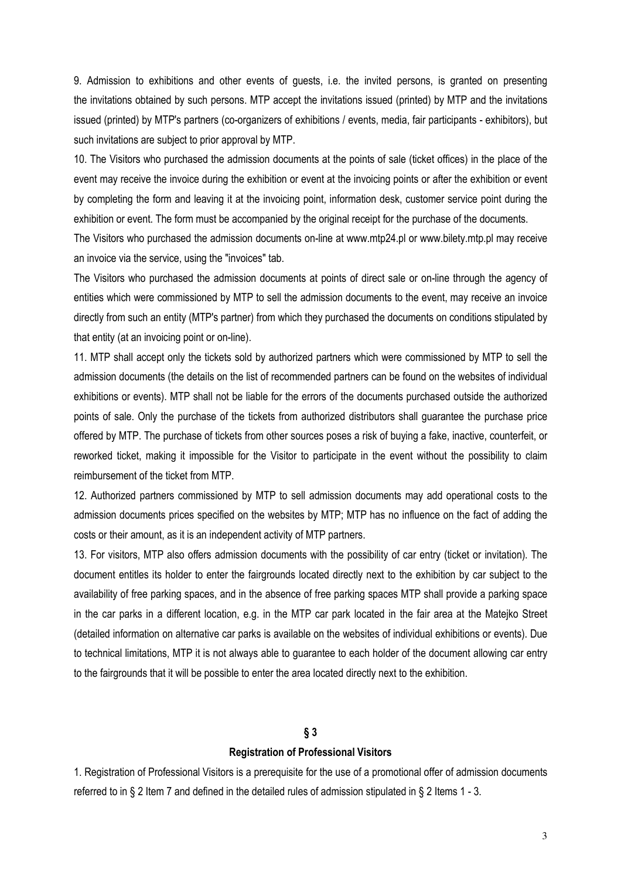9. Admission to exhibitions and other events of guests, i.e. the invited persons, is granted on presenting the invitations obtained by such persons. MTP accept the invitations issued (printed) by MTP and the invitations issued (printed) by MTP's partners (co-organizers of exhibitions / events, media, fair participants - exhibitors), but such invitations are subject to prior approval by MTP.

10. The Visitors who purchased the admission documents at the points of sale (ticket offices) in the place of the event may receive the invoice during the exhibition or event at the invoicing points or after the exhibition or event by completing the form and leaving it at the invoicing point, information desk, customer service point during the exhibition or event. The form must be accompanied by the original receipt for the purchase of the documents.

The Visitors who purchased the admission documents on-line at www.mtp24.pl or www.bilety.mtp.pl may receive an invoice via the service, using the "invoices" tab.

The Visitors who purchased the admission documents at points of direct sale or on-line through the agency of entities which were commissioned by MTP to sell the admission documents to the event, may receive an invoice directly from such an entity (MTP's partner) from which they purchased the documents on conditions stipulated by that entity (at an invoicing point or on-line).

11. MTP shall accept only the tickets sold by authorized partners which were commissioned by MTP to sell the admission documents (the details on the list of recommended partners can be found on the websites of individual exhibitions or events). MTP shall not be liable for the errors of the documents purchased outside the authorized points of sale. Only the purchase of the tickets from authorized distributors shall guarantee the purchase price offered by MTP. The purchase of tickets from other sources poses a risk of buying a fake, inactive, counterfeit, or reworked ticket, making it impossible for the Visitor to participate in the event without the possibility to claim reimbursement of the ticket from MTP.

12. Authorized partners commissioned by MTP to sell admission documents may add operational costs to the admission documents prices specified on the websites by MTP; MTP has no influence on the fact of adding the costs or their amount, as it is an independent activity of MTP partners.

13. For visitors, MTP also offers admission documents with the possibility of car entry (ticket or invitation). The document entitles its holder to enter the fairgrounds located directly next to the exhibition by car subject to the availability of free parking spaces, and in the absence of free parking spaces MTP shall provide a parking space in the car parks in a different location, e.g. in the MTP car park located in the fair area at the Matejko Street (detailed information on alternative car parks is available on the websites of individual exhibitions or events). Due to technical limitations, MTP it is not always able to guarantee to each holder of the document allowing car entry to the fairgrounds that it will be possible to enter the area located directly next to the exhibition.

# **§ 3**

#### **Registration of Professional Visitors**

1. Registration of Professional Visitors is a prerequisite for the use of a promotional offer of admission documents referred to in § 2 Item 7 and defined in the detailed rules of admission stipulated in § 2 Items 1 - 3.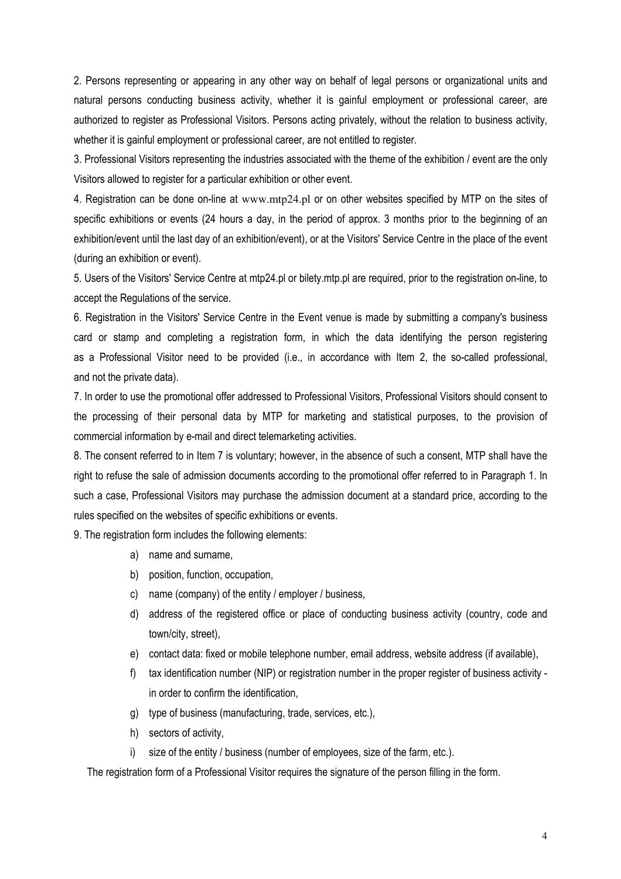2. Persons representing or appearing in any other way on behalf of legal persons or organizational units and natural persons conducting business activity, whether it is gainful employment or professional career, are authorized to register as Professional Visitors. Persons acting privately, without the relation to business activity, whether it is gainful employment or professional career, are not entitled to register.

3. Professional Visitors representing the industries associated with the theme of the exhibition / event are the only Visitors allowed to register for a particular exhibition or other event.

4. Registration can be done on-line at www.mtp24.pl or on other websites specified by MTP on the sites of specific exhibitions or events (24 hours a day, in the period of approx. 3 months prior to the beginning of an exhibition/event until the last day of an exhibition/event), or at the Visitors' Service Centre in the place of the event (during an exhibition or event).

5. Users of the Visitors' Service Centre at mtp24.pl or bilety.mtp.pl are required, prior to the registration on-line, to accept the Regulations of the service.

6. Registration in the Visitors' Service Centre in the Event venue is made by submitting a company's business card or stamp and completing a registration form, in which the data identifying the person registering as a Professional Visitor need to be provided (i.e., in accordance with Item 2, the so-called professional, and not the private data).

7. In order to use the promotional offer addressed to Professional Visitors, Professional Visitors should consent to the processing of their personal data by MTP for marketing and statistical purposes, to the provision of commercial information by e-mail and direct telemarketing activities.

8. The consent referred to in Item 7 is voluntary; however, in the absence of such a consent, MTP shall have the right to refuse the sale of admission documents according to the promotional offer referred to in Paragraph 1. In such a case, Professional Visitors may purchase the admission document at a standard price, according to the rules specified on the websites of specific exhibitions or events.

9. The registration form includes the following elements:

- a) name and surname,
- b) position, function, occupation,
- c) name (company) of the entity / employer / business,
- d) address of the registered office or place of conducting business activity (country, code and town/city, street),
- e) contact data: fixed or mobile telephone number, email address, website address (if available),
- f) tax identification number (NIP) or registration number in the proper register of business activity in order to confirm the identification,
- g) type of business (manufacturing, trade, services, etc.),
- h) sectors of activity,
- i) size of the entity / business (number of employees, size of the farm, etc.).

The registration form of a Professional Visitor requires the signature of the person filling in the form.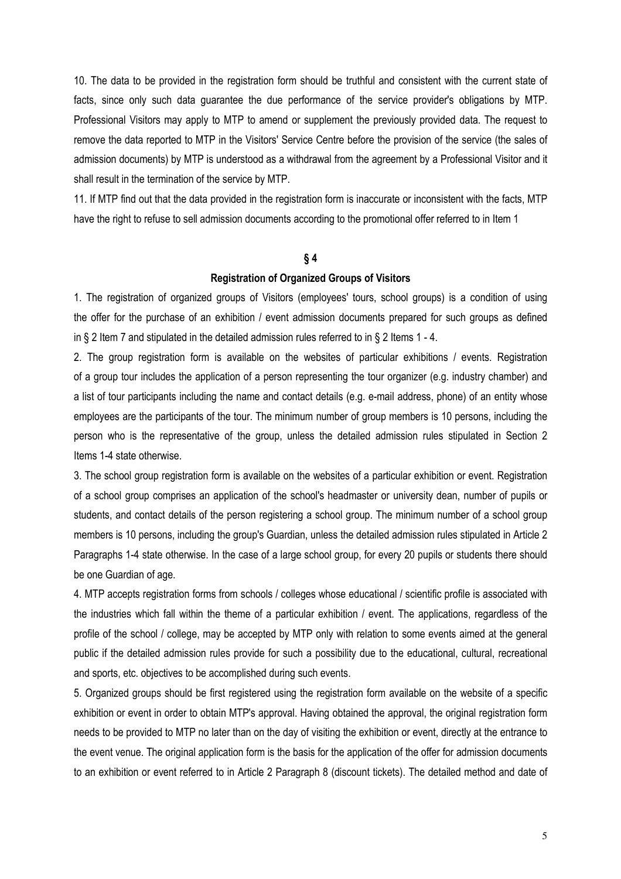10. The data to be provided in the registration form should be truthful and consistent with the current state of facts, since only such data guarantee the due performance of the service provider's obligations by MTP. Professional Visitors may apply to MTP to amend or supplement the previously provided data. The request to remove the data reported to MTP in the Visitors' Service Centre before the provision of the service (the sales of admission documents) by MTP is understood as a withdrawal from the agreement by a Professional Visitor and it shall result in the termination of the service by MTP.

11. If MTP find out that the data provided in the registration form is inaccurate or inconsistent with the facts, MTP have the right to refuse to sell admission documents according to the promotional offer referred to in Item 1

# **§ 4**

#### **Registration of Organized Groups of Visitors**

1. The registration of organized groups of Visitors (employees' tours, school groups) is a condition of using the offer for the purchase of an exhibition / event admission documents prepared for such groups as defined in § 2 Item 7 and stipulated in the detailed admission rules referred to in § 2 Items 1 - 4.

2. The group registration form is available on the websites of particular exhibitions / events. Registration of a group tour includes the application of a person representing the tour organizer (e.g. industry chamber) and a list of tour participants including the name and contact details (e.g. e-mail address, phone) of an entity whose employees are the participants of the tour. The minimum number of group members is 10 persons, including the person who is the representative of the group, unless the detailed admission rules stipulated in Section 2 Items 1-4 state otherwise.

3. The school group registration form is available on the websites of a particular exhibition or event. Registration of a school group comprises an application of the school's headmaster or university dean, number of pupils or students, and contact details of the person registering a school group. The minimum number of a school group members is 10 persons, including the group's Guardian, unless the detailed admission rules stipulated in Article 2 Paragraphs 1-4 state otherwise. In the case of a large school group, for every 20 pupils or students there should be one Guardian of age.

4. MTP accepts registration forms from schools / colleges whose educational / scientific profile is associated with the industries which fall within the theme of a particular exhibition / event. The applications, regardless of the profile of the school / college, may be accepted by MTP only with relation to some events aimed at the general public if the detailed admission rules provide for such a possibility due to the educational, cultural, recreational and sports, etc. objectives to be accomplished during such events.

5. Organized groups should be first registered using the registration form available on the website of a specific exhibition or event in order to obtain MTP's approval. Having obtained the approval, the original registration form needs to be provided to MTP no later than on the day of visiting the exhibition or event, directly at the entrance to the event venue. The original application form is the basis for the application of the offer for admission documents to an exhibition or event referred to in Article 2 Paragraph 8 (discount tickets). The detailed method and date of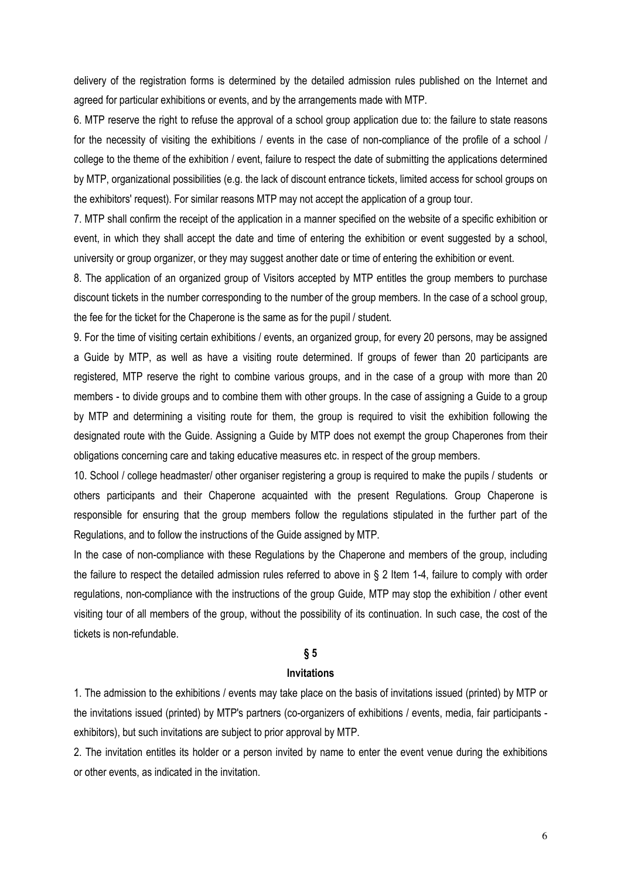delivery of the registration forms is determined by the detailed admission rules published on the Internet and agreed for particular exhibitions or events, and by the arrangements made with MTP.

6. MTP reserve the right to refuse the approval of a school group application due to: the failure to state reasons for the necessity of visiting the exhibitions / events in the case of non-compliance of the profile of a school / college to the theme of the exhibition / event, failure to respect the date of submitting the applications determined by MTP, organizational possibilities (e.g. the lack of discount entrance tickets, limited access for school groups on the exhibitors' request). For similar reasons MTP may not accept the application of a group tour.

7. MTP shall confirm the receipt of the application in a manner specified on the website of a specific exhibition or event, in which they shall accept the date and time of entering the exhibition or event suggested by a school, university or group organizer, or they may suggest another date or time of entering the exhibition or event.

8. The application of an organized group of Visitors accepted by MTP entitles the group members to purchase discount tickets in the number corresponding to the number of the group members. In the case of a school group, the fee for the ticket for the Chaperone is the same as for the pupil / student.

9. For the time of visiting certain exhibitions / events, an organized group, for every 20 persons, may be assigned a Guide by MTP, as well as have a visiting route determined. If groups of fewer than 20 participants are registered, MTP reserve the right to combine various groups, and in the case of a group with more than 20 members - to divide groups and to combine them with other groups. In the case of assigning a Guide to a group by MTP and determining a visiting route for them, the group is required to visit the exhibition following the designated route with the Guide. Assigning a Guide by MTP does not exempt the group Chaperones from their obligations concerning care and taking educative measures etc. in respect of the group members.

10. School / college headmaster/ other organiser registering a group is required to make the pupils / students or others participants and their Chaperone acquainted with the present Regulations. Group Chaperone is responsible for ensuring that the group members follow the regulations stipulated in the further part of the Regulations, and to follow the instructions of the Guide assigned by MTP.

In the case of non-compliance with these Regulations by the Chaperone and members of the group, including the failure to respect the detailed admission rules referred to above in § 2 Item 1-4, failure to comply with order regulations, non-compliance with the instructions of the group Guide, MTP may stop the exhibition / other event visiting tour of all members of the group, without the possibility of its continuation. In such case, the cost of the tickets is non-refundable.

# **§ 5**

#### **Invitations**

1. The admission to the exhibitions / events may take place on the basis of invitations issued (printed) by MTP or the invitations issued (printed) by MTP's partners (co-organizers of exhibitions / events, media, fair participants exhibitors), but such invitations are subject to prior approval by MTP.

2. The invitation entitles its holder or a person invited by name to enter the event venue during the exhibitions or other events, as indicated in the invitation.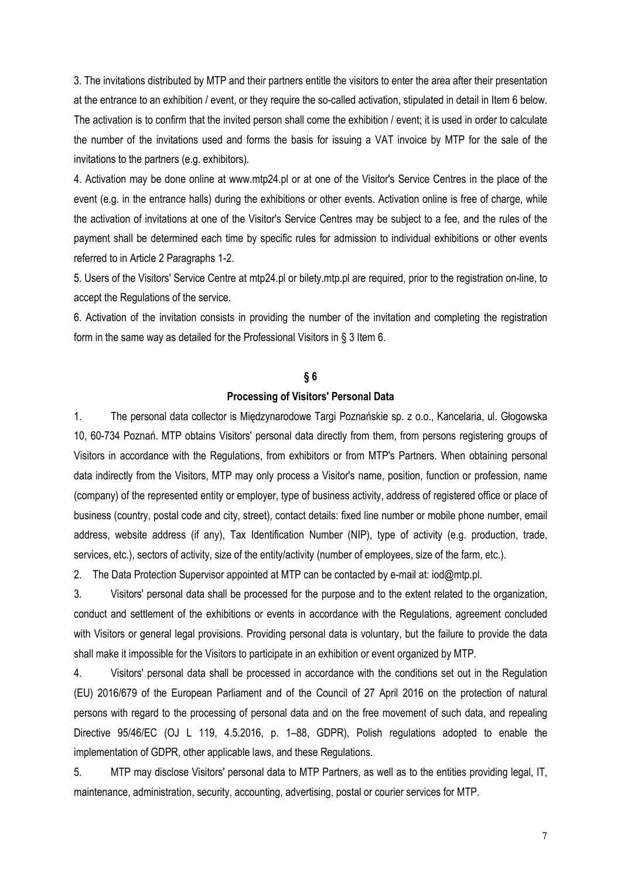3. The invitations distributed by MTP and their partners entitle the visitors to enter the area after their presentation at the entrance to an exhibition / event, or they require the so-called activation, stipulated in detail in Item 6 below. The activation is to confirm that the invited person shall come the exhibition / event; it is used in order to calculate the number of the invitations used and forms the basis for issuing a VAT invoice by MTP for the sale of the invitations to the partners (e.g. exhibitors).

4. Activation may be done online at www.mtp24.pl or at one of the Visitor's Service Centres in the place of the event (e.g. in the entrance halls) during the exhibitions or other events. Activation online is free of charge, while the activation of invitations at one of the Visitor's Service Centres may be subject to a fee, and the rules of the payment shall be determined each time by specific rules for admission to individual exhibitions or other events referred to in Article 2 Paragraphs 1-2.

5. Users of the Visitors' Service Centre at mtp24.pl or bilety.mtp.pl are required, prior to the registration on-line, to accept the Regulations of the service.

6. Activation of the invitation consists in providing the number of the invitation and completing the registration form in the same way as detailed for the Professional Visitors in § 3 Item 6.

#### **§ 6**

# **Processing of Visitors' Personal Data**

1. The personal data collector is Międzynarodowe Targi Poznańskie sp. z o.o., Kancelaria, ul. Głogowska 10, 60-734 Poznań. MTP obtains Visitors' personal data directly from them, from persons registering groups of Visitors in accordance with the Regulations, from exhibitors or from MTP's Partners. When obtaining personal data indirectly from the Visitors, MTP may only process a Visitor's name, position, function or profession, name (company) of the represented entity or employer, type of business activity, address of registered office or place of business (country, postal code and city, street), contact details: fixed line number or mobile phone number, email address, website address (if any), Tax Identification Number (NIP), type of activity (e.g. production, trade, services, etc.), sectors of activity, size of the entity/activity (number of employees, size of the farm, etc.).

2. The Data Protection Supervisor appointed at MTP can be contacted by e-mail at: iod@mtp.pl.

3. Visitors' personal data shall be processed for the purpose and to the extent related to the organization, conduct and settlement of the exhibitions or events in accordance with the Regulations, agreement concluded with Visitors or general legal provisions. Providing personal data is voluntary, but the failure to provide the data shall make it impossible for the Visitors to participate in an exhibition or event organized by MTP.

4. Visitors' personal data shall be processed in accordance with the conditions set out in the Regulation (EU) 2016/679 of the European Parliament and of the Council of 27 April 2016 on the protection of natural persons with regard to the processing of personal data and on the free movement of such data, and repealing Directive 95/46/EC (OJ L 119, 4.5.2016, p. 1–88, GDPR), Polish regulations adopted to enable the implementation of GDPR, other applicable laws, and these Regulations.

5. MTP may disclose Visitors' personal data to MTP Partners, as well as to the entities providing legal, IT, maintenance, administration, security, accounting, advertising, postal or courier services for MTP.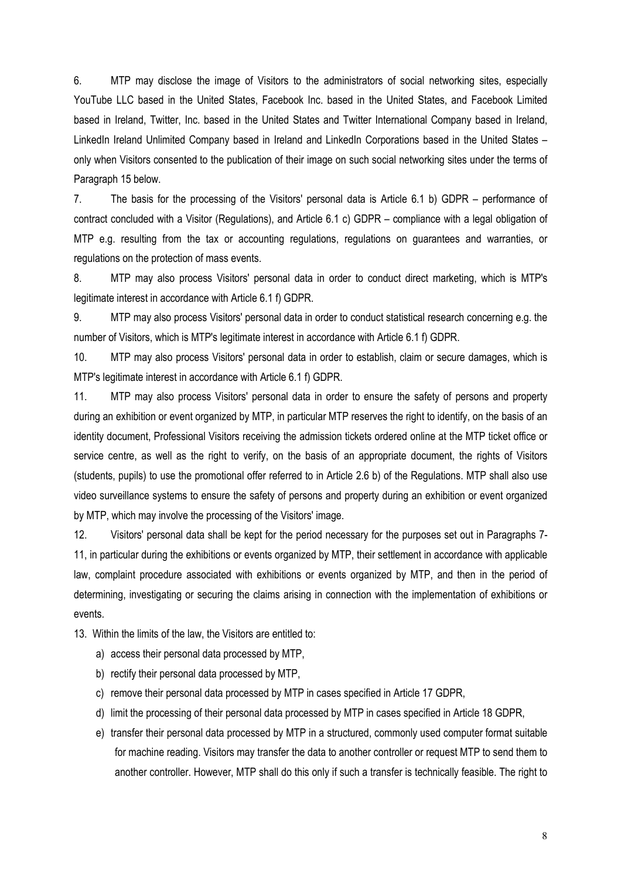6. MTP may disclose the image of Visitors to the administrators of social networking sites, especially YouTube LLC based in the United States, Facebook Inc. based in the United States, and Facebook Limited based in Ireland, Twitter, Inc. based in the United States and Twitter International Company based in Ireland, LinkedIn Ireland Unlimited Company based in Ireland and LinkedIn Corporations based in the United States – only when Visitors consented to the publication of their image on such social networking sites under the terms of Paragraph 15 below.

7. The basis for the processing of the Visitors' personal data is Article 6.1 b) GDPR – performance of contract concluded with a Visitor (Regulations), and Article 6.1 c) GDPR – compliance with a legal obligation of MTP e.g. resulting from the tax or accounting regulations, regulations on guarantees and warranties, or regulations on the protection of mass events.

8. MTP may also process Visitors' personal data in order to conduct direct marketing, which is MTP's legitimate interest in accordance with Article 6.1 f) GDPR.

9. MTP may also process Visitors' personal data in order to conduct statistical research concerning e.g. the number of Visitors, which is MTP's legitimate interest in accordance with Article 6.1 f) GDPR.

10. MTP may also process Visitors' personal data in order to establish, claim or secure damages, which is MTP's legitimate interest in accordance with Article 6.1 f) GDPR.

11. MTP may also process Visitors' personal data in order to ensure the safety of persons and property during an exhibition or event organized by MTP, in particular MTP reserves the right to identify, on the basis of an identity document, Professional Visitors receiving the admission tickets ordered online at the MTP ticket office or service centre, as well as the right to verify, on the basis of an appropriate document, the rights of Visitors (students, pupils) to use the promotional offer referred to in Article 2.6 b) of the Regulations. MTP shall also use video surveillance systems to ensure the safety of persons and property during an exhibition or event organized by MTP, which may involve the processing of the Visitors' image.

12. Visitors' personal data shall be kept for the period necessary for the purposes set out in Paragraphs 7- 11, in particular during the exhibitions or events organized by MTP, their settlement in accordance with applicable law, complaint procedure associated with exhibitions or events organized by MTP, and then in the period of determining, investigating or securing the claims arising in connection with the implementation of exhibitions or events.

13. Within the limits of the law, the Visitors are entitled to:

- a) access their personal data processed by MTP,
- b) rectify their personal data processed by MTP,
- c) remove their personal data processed by MTP in cases specified in Article 17 GDPR,
- d) limit the processing of their personal data processed by MTP in cases specified in Article 18 GDPR,
- e) transfer their personal data processed by MTP in a structured, commonly used computer format suitable for machine reading. Visitors may transfer the data to another controller or request MTP to send them to another controller. However, MTP shall do this only if such a transfer is technically feasible. The right to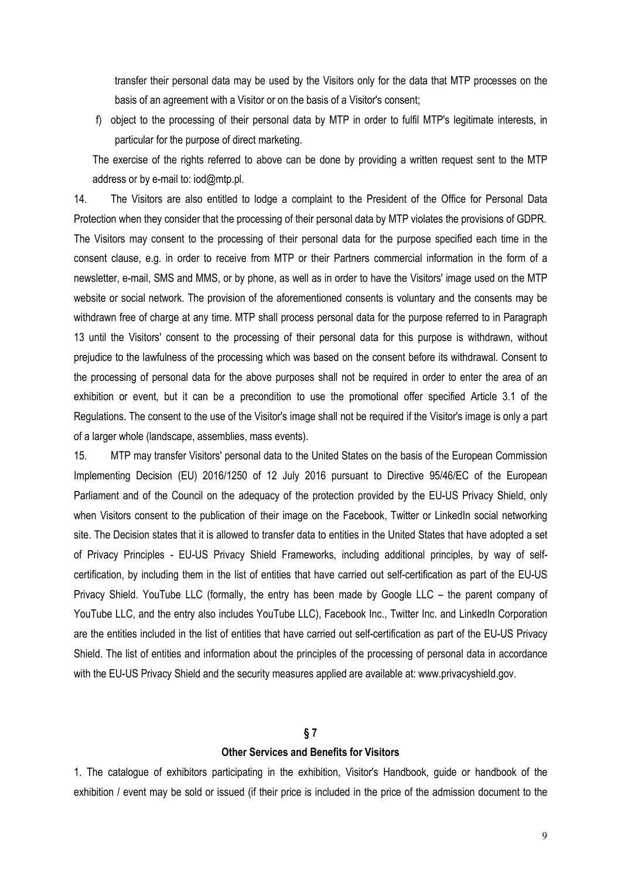transfer their personal data may be used by the Visitors only for the data that MTP processes on the basis of an agreement with a Visitor or on the basis of a Visitor's consent;

f) object to the processing of their personal data by MTP in order to fulfil MTP's legitimate interests, in particular for the purpose of direct marketing.

The exercise of the rights referred to above can be done by providing a written request sent to the MTP address or by e-mail to: iod@mtp.pl.

14. The Visitors are also entitled to lodge a complaint to the President of the Office for Personal Data Protection when they consider that the processing of their personal data by MTP violates the provisions of GDPR. The Visitors may consent to the processing of their personal data for the purpose specified each time in the consent clause, e.g. in order to receive from MTP or their Partners commercial information in the form of a newsletter, e-mail, SMS and MMS, or by phone, as well as in order to have the Visitors' image used on the MTP website or social network. The provision of the aforementioned consents is voluntary and the consents may be withdrawn free of charge at any time. MTP shall process personal data for the purpose referred to in Paragraph 13 until the Visitors' consent to the processing of their personal data for this purpose is withdrawn, without prejudice to the lawfulness of the processing which was based on the consent before its withdrawal. Consent to the processing of personal data for the above purposes shall not be required in order to enter the area of an exhibition or event, but it can be a precondition to use the promotional offer specified Article 3.1 of the Regulations. The consent to the use of the Visitor's image shall not be required if the Visitor's image is only a part of a larger whole (landscape, assemblies, mass events).

15. MTP may transfer Visitors' personal data to the United States on the basis of the European Commission Implementing Decision (EU) 2016/1250 of 12 July 2016 pursuant to Directive 95/46/EC of the European Parliament and of the Council on the adequacy of the protection provided by the EU-US Privacy Shield, only when Visitors consent to the publication of their image on the Facebook, Twitter or LinkedIn social networking site. The Decision states that it is allowed to transfer data to entities in the United States that have adopted a set of Privacy Principles - EU-US Privacy Shield Frameworks, including additional principles, by way of selfcertification, by including them in the list of entities that have carried out self-certification as part of the EU-US Privacy Shield. YouTube LLC (formally, the entry has been made by Google LLC – the parent company of YouTube LLC, and the entry also includes YouTube LLC), Facebook Inc., Twitter Inc. and LinkedIn Corporation are the entities included in the list of entities that have carried out self-certification as part of the EU-US Privacy Shield. The list of entities and information about the principles of the processing of personal data in accordance with the EU-US Privacy Shield and the security measures applied are available at: www.privacyshield.gov.

# **§ 7**

#### **Other Services and Benefits for Visitors**

1. The catalogue of exhibitors participating in the exhibition, Visitor's Handbook, guide or handbook of the exhibition / event may be sold or issued (if their price is included in the price of the admission document to the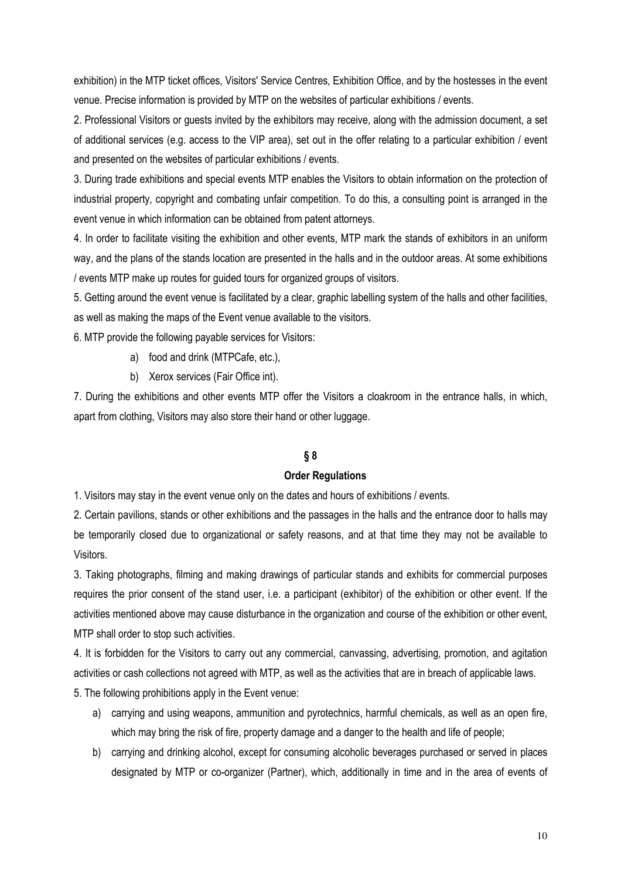exhibition) in the MTP ticket offices, Visitors' Service Centres, Exhibition Office, and by the hostesses in the event venue. Precise information is provided by MTP on the websites of particular exhibitions / events.

2. Professional Visitors or guests invited by the exhibitors may receive, along with the admission document, a set of additional services (e.g. access to the VIP area), set out in the offer relating to a particular exhibition / event and presented on the websites of particular exhibitions / events.

3. During trade exhibitions and special events MTP enables the Visitors to obtain information on the protection of industrial property, copyright and combating unfair competition. To do this, a consulting point is arranged in the event venue in which information can be obtained from patent attorneys.

4. In order to facilitate visiting the exhibition and other events, MTP mark the stands of exhibitors in an uniform way, and the plans of the stands location are presented in the halls and in the outdoor areas. At some exhibitions / events MTP make up routes for guided tours for organized groups of visitors.

5. Getting around the event venue is facilitated by a clear, graphic labelling system of the halls and other facilities, as well as making the maps of the Event venue available to the visitors.

6. MTP provide the following payable services for Visitors:

- a) food and drink (MTPCafe, etc.),
- b) Xerox services (Fair Office int).

7. During the exhibitions and other events MTP offer the Visitors a cloakroom in the entrance halls, in which, apart from clothing, Visitors may also store their hand or other luggage.

# **§ 8**

# **Order Regulations**

1. Visitors may stay in the event venue only on the dates and hours of exhibitions / events.

2. Certain pavilions, stands or other exhibitions and the passages in the halls and the entrance door to halls may be temporarily closed due to organizational or safety reasons, and at that time they may not be available to Visitors.

3. Taking photographs, filming and making drawings of particular stands and exhibits for commercial purposes requires the prior consent of the stand user, i.e. a participant (exhibitor) of the exhibition or other event. If the activities mentioned above may cause disturbance in the organization and course of the exhibition or other event, MTP shall order to stop such activities.

4. It is forbidden for the Visitors to carry out any commercial, canvassing, advertising, promotion, and agitation activities or cash collections not agreed with MTP, as well as the activities that are in breach of applicable laws.

5. The following prohibitions apply in the Event venue:

- a) carrying and using weapons, ammunition and pyrotechnics, harmful chemicals, as well as an open fire, which may bring the risk of fire, property damage and a danger to the health and life of people;
- b) carrying and drinking alcohol, except for consuming alcoholic beverages purchased or served in places designated by MTP or co-organizer (Partner), which, additionally in time and in the area of events of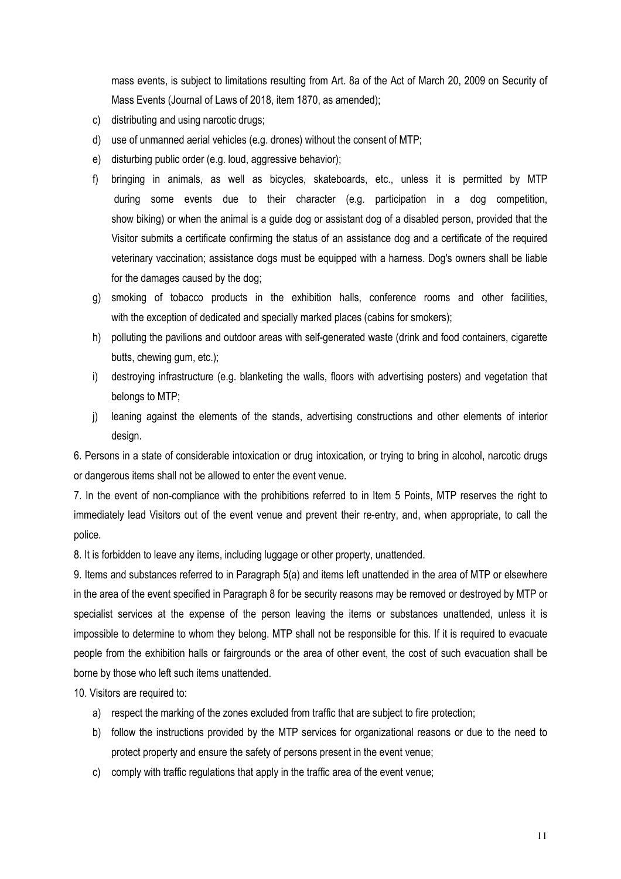mass events, is subject to limitations resulting from Art. 8a of the Act of March 20, 2009 on Security of Mass Events (Journal of Laws of 2018, item 1870, as amended);

- c) distributing and using narcotic drugs;
- d) use of unmanned aerial vehicles (e.g. drones) without the consent of MTP;
- e) disturbing public order (e.g. loud, aggressive behavior);
- f) bringing in animals, as well as bicycles, skateboards, etc., unless it is permitted by MTP during some events due to their character (e.g. participation in a dog competition, show biking) or when the animal is a guide dog or assistant dog of a disabled person, provided that the Visitor submits a certificate confirming the status of an assistance dog and a certificate of the required veterinary vaccination; assistance dogs must be equipped with a harness. Dog's owners shall be liable for the damages caused by the dog;
- g) smoking of tobacco products in the exhibition halls, conference rooms and other facilities, with the exception of dedicated and specially marked places (cabins for smokers);
- h) polluting the pavilions and outdoor areas with self-generated waste (drink and food containers, cigarette butts, chewing gum, etc.);
- i) destroying infrastructure (e.g. blanketing the walls, floors with advertising posters) and vegetation that belongs to MTP;
- j) leaning against the elements of the stands, advertising constructions and other elements of interior design.

6. Persons in a state of considerable intoxication or drug intoxication, or trying to bring in alcohol, narcotic drugs or dangerous items shall not be allowed to enter the event venue.

7. In the event of non-compliance with the prohibitions referred to in Item 5 Points, MTP reserves the right to immediately lead Visitors out of the event venue and prevent their re-entry, and, when appropriate, to call the police.

8. It is forbidden to leave any items, including luggage or other property, unattended.

9. Items and substances referred to in Paragraph 5(a) and items left unattended in the area of MTP or elsewhere in the area of the event specified in Paragraph 8 for be security reasons may be removed or destroyed by MTP or specialist services at the expense of the person leaving the items or substances unattended, unless it is impossible to determine to whom they belong. MTP shall not be responsible for this. If it is required to evacuate people from the exhibition halls or fairgrounds or the area of other event, the cost of such evacuation shall be borne by those who left such items unattended.

10. Visitors are required to:

- a) respect the marking of the zones excluded from traffic that are subject to fire protection;
- b) follow the instructions provided by the MTP services for organizational reasons or due to the need to protect property and ensure the safety of persons present in the event venue;
- c) comply with traffic regulations that apply in the traffic area of the event venue;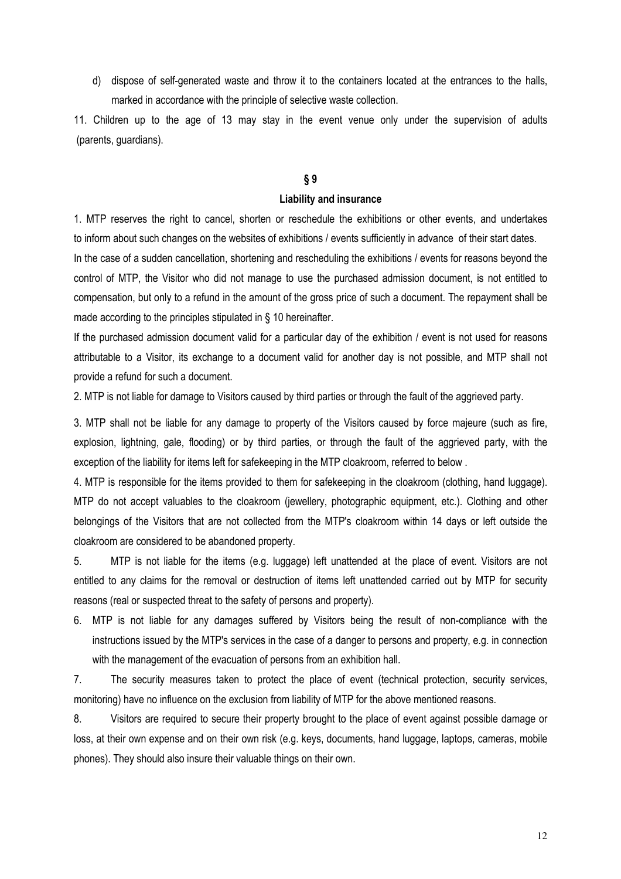d) dispose of self-generated waste and throw it to the containers located at the entrances to the halls, marked in accordance with the principle of selective waste collection.

11. Children up to the age of 13 may stay in the event venue only under the supervision of adults (parents, guardians).

# **§ 9**

# **Liability and insurance**

1. MTP reserves the right to cancel, shorten or reschedule the exhibitions or other events, and undertakes to inform about such changes on the websites of exhibitions / events sufficiently in advance of their start dates.

In the case of a sudden cancellation, shortening and rescheduling the exhibitions / events for reasons beyond the control of MTP, the Visitor who did not manage to use the purchased admission document, is not entitled to compensation, but only to a refund in the amount of the gross price of such a document. The repayment shall be made according to the principles stipulated in § 10 hereinafter.

If the purchased admission document valid for a particular day of the exhibition / event is not used for reasons attributable to a Visitor, its exchange to a document valid for another day is not possible, and MTP shall not provide a refund for such a document.

2. MTP is not liable for damage to Visitors caused by third parties or through the fault of the aggrieved party.

3. MTP shall not be liable for any damage to property of the Visitors caused by force majeure (such as fire, explosion, lightning, gale, flooding) or by third parties, or through the fault of the aggrieved party, with the exception of the liability for items left for safekeeping in the MTP cloakroom, referred to below .

4. MTP is responsible for the items provided to them for safekeeping in the cloakroom (clothing, hand luggage). MTP do not accept valuables to the cloakroom (jewellery, photographic equipment, etc.). Clothing and other belongings of the Visitors that are not collected from the MTP's cloakroom within 14 days or left outside the cloakroom are considered to be abandoned property.

5. MTP is not liable for the items (e.g. luggage) left unattended at the place of event. Visitors are not entitled to any claims for the removal or destruction of items left unattended carried out by MTP for security reasons (real or suspected threat to the safety of persons and property).

6. MTP is not liable for any damages suffered by Visitors being the result of non-compliance with the instructions issued by the MTP's services in the case of a danger to persons and property, e.g. in connection with the management of the evacuation of persons from an exhibition hall.

7. The security measures taken to protect the place of event (technical protection, security services, monitoring) have no influence on the exclusion from liability of MTP for the above mentioned reasons.

8. Visitors are required to secure their property brought to the place of event against possible damage or loss, at their own expense and on their own risk (e.g. keys, documents, hand luggage, laptops, cameras, mobile phones). They should also insure their valuable things on their own.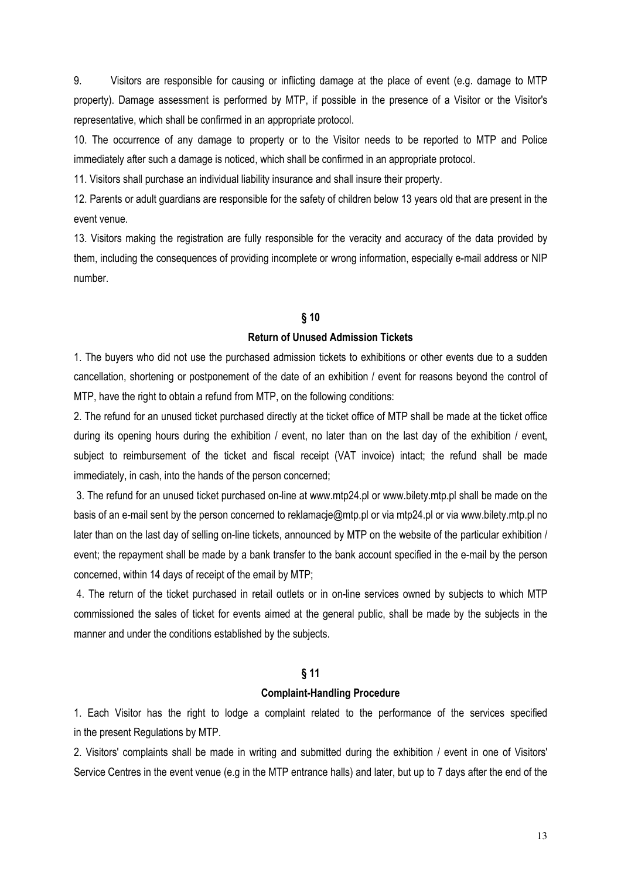9. Visitors are responsible for causing or inflicting damage at the place of event (e.g. damage to MTP property). Damage assessment is performed by MTP, if possible in the presence of a Visitor or the Visitor's representative, which shall be confirmed in an appropriate protocol.

10. The occurrence of any damage to property or to the Visitor needs to be reported to MTP and Police immediately after such a damage is noticed, which shall be confirmed in an appropriate protocol.

11. Visitors shall purchase an individual liability insurance and shall insure their property.

12. Parents or adult guardians are responsible for the safety of children below 13 years old that are present in the event venue.

13. Visitors making the registration are fully responsible for the veracity and accuracy of the data provided by them, including the consequences of providing incomplete or wrong information, especially e-mail address or NIP number.

# **§ 10**

# **Return of Unused Admission Tickets**

1. The buyers who did not use the purchased admission tickets to exhibitions or other events due to a sudden cancellation, shortening or postponement of the date of an exhibition / event for reasons beyond the control of MTP, have the right to obtain a refund from MTP, on the following conditions:

2. The refund for an unused ticket purchased directly at the ticket office of MTP shall be made at the ticket office during its opening hours during the exhibition / event, no later than on the last day of the exhibition / event, subject to reimbursement of the ticket and fiscal receipt (VAT invoice) intact; the refund shall be made immediately, in cash, into the hands of the person concerned;

 3. The refund for an unused ticket purchased on-line at www.mtp24.pl or www.bilety.mtp.pl shall be made on the basis of an e-mail sent by the person concerned to reklamacje@mtp.pl or via mtp24.pl or via www.bilety.mtp.pl no later than on the last day of selling on-line tickets, announced by MTP on the website of the particular exhibition / event; the repayment shall be made by a bank transfer to the bank account specified in the e-mail by the person concerned, within 14 days of receipt of the email by MTP;

 4. The return of the ticket purchased in retail outlets or in on-line services owned by subjects to which MTP commissioned the sales of ticket for events aimed at the general public, shall be made by the subjects in the manner and under the conditions established by the subjects.

# **§ 11**

### **Complaint-Handling Procedure**

1. Each Visitor has the right to lodge a complaint related to the performance of the services specified in the present Regulations by MTP.

2. Visitors' complaints shall be made in writing and submitted during the exhibition / event in one of Visitors' Service Centres in the event venue (e.g in the MTP entrance halls) and later, but up to 7 days after the end of the